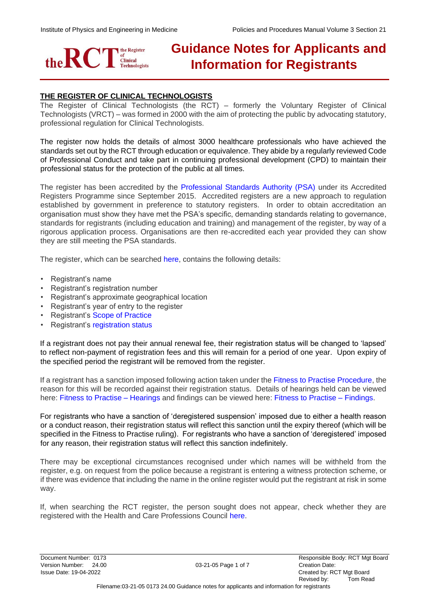

# **Guidance Notes for Applicants and Information for Registrants**

# **THE REGISTER OF CLINICAL TECHNOLOGISTS**

The Register of Clinical Technologists (the RCT) – formerly the Voluntary Register of Clinical Technologists (VRCT) – was formed in 2000 with the aim of protecting the public by advocating statutory, professional regulation for Clinical Technologists.

The register now holds the details of almost 3000 healthcare professionals who have achieved the standards set out by the RCT through education or equivalence. They abide by a regularly reviewed Code of Professional Conduct and take part in continuing professional development (CPD) to maintain their professional status for the protection of the public at all times.

The register has been accredited by the Professional Standards Authority (PSA) under its Accredited Registers Programme since September 2015. Accredited registers are a new approach to regulation established by government in preference to statutory registers. In order to obtain accreditation an organisation must show they have met the PSA's specific, demanding standards relating to governance, standards for registrants (including education and training) and management of the register, by way of a rigorous application process. Organisations are then re-accredited each year provided they can show they are still meeting the PSA standards.

The register, which can be searched [here,](http://therct.org.uk/fees/) contains the following details:

- Registrant's name
- Registrant's registration number
- Registrant's approximate geographical location
- Registrant's year of entry to the register
- Registrant's [Scope of Practice](http://www.naric.org.uk/)
- Registrant's [registration status](http://therct.org.uk/view-the-register/registration-status-explained/)

If a registrant does not pay their annual renewal fee, their registration status will be changed to 'lapsed' to reflect non-payment of registration fees and this will remain for a period of one year. Upon expiry of the specified period the registrant will be removed from the register.

If a registrant has a sanction imposed following action taken under the [Fitness to Practise Procedure,](http://www.professionalstandards.org.uk/) the reason for this will be recorded against their registration status. Details of hearings held can be viewed here: [Fitness to Practise –](http://therct.org.uk/info-for-public/fitness-to-practice-findings/) Hearings and findings can be viewed here: Fitness to Practise – [Findings.](http://therct.org.uk/info-for-public/fitness-to-practice-findings/)

For registrants who have a sanction of 'deregistered suspension' imposed due to either a health reason or a conduct reason, their registration status will reflect this sanction until the expiry thereof (which will be specified in the Fitness to Practise ruling). For registrants who have a sanction of 'deregistered' imposed for any reason, their registration status will reflect this sanction indefinitely.

There may be exceptional circumstances recognised under which names will be withheld from the register, e.g. on request from the police because a registrant is entering a witness protection scheme, or if there was evidence that including the name in the online register would put the registrant at risk in some way.

If, when searching the RCT register, the person sought does not appear, check whether they are registered with the Health and Care Professions Council [here.](http://therct.org.uk/how-to-join-the-register/standards/scope-of-practice/)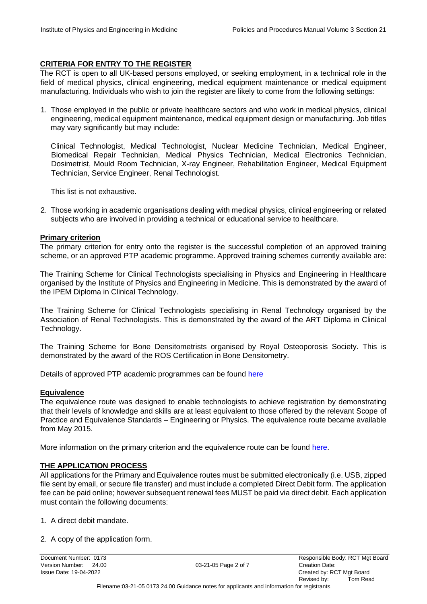## **CRITERIA FOR ENTRY TO THE REGISTER**

The RCT is open to all UK-based persons employed, or seeking employment, in a technical role in the field of medical physics, clinical engineering, medical equipment maintenance or medical equipment manufacturing. Individuals who wish to join the register are likely to come from the following settings:

1. Those employed in the public or private healthcare sectors and who work in medical physics, clinical engineering, medical equipment maintenance, medical equipment design or manufacturing. Job titles may vary significantly but may include:

Clinical Technologist, Medical Technologist, Nuclear Medicine Technician, Medical Engineer, Biomedical Repair Technician, Medical Physics Technician, Medical Electronics Technician, Dosimetrist, Mould Room Technician, X-ray Engineer, Rehabilitation Engineer, Medical Equipment Technician, Service Engineer, Renal Technologist.

This list is not exhaustive.

2. Those working in academic organisations dealing with medical physics, clinical engineering or related subjects who are involved in providing a technical or educational service to healthcare.

#### **Primary criterion**

The primary criterion for entry onto the register is the successful completion of an approved training scheme, or an approved PTP academic programme. Approved training schemes currently available are:

The Training Scheme for Clinical Technologists specialising in Physics and Engineering in Healthcare organised by the Institute of Physics and Engineering in Medicine. This is demonstrated by the award of the IPEM Diploma in Clinical Technology.

The Training Scheme for Clinical Technologists specialising in Renal Technology organised by the Association of Renal Technologists. This is demonstrated by the award of the ART Diploma in Clinical Technology.

The Training Scheme for Bone Densitometrists organised by Royal Osteoporosis Society. This is demonstrated by the award of the ROS Certification in Bone Densitometry.

Details of approved PTP academic programmes can be found [here](http://therct.org.uk/how-to-join-the-register/data-collected/)

#### **Equivalence**

The equivalence route was designed to enable technologists to achieve registration by demonstrating that their levels of knowledge and skills are at least equivalent to those offered by the relevant Scope of Practice and Equivalence Standards – Engineering or Physics. The equivalence route became available from May 2015.

More information on the primary criterion and the equivalence route can be found [here.](http://therct.org.uk/how-to-join-the-register/standards/)

## **THE APPLICATION PROCESS**

All applications for the Primary and Equivalence routes must be submitted electronically (i.e. USB, zipped file sent by email, or secure file transfer) and must include a completed Direct Debit form. The application fee can be paid online; however subsequent renewal fees MUST be paid via direct debit. Each application must contain the following documents:

- 1. A direct debit mandate.
- 2. A copy of the application form.

Version Number: 24.00 03-21-05 Page 2 of 7 Creation Date: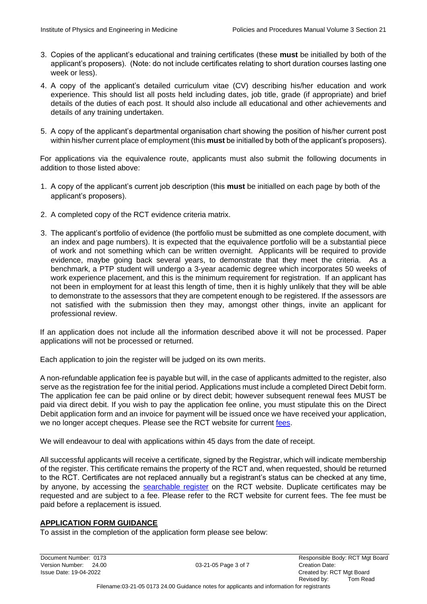- 3. Copies of the applicant's educational and training certificates (these **must** be initialled by both of the applicant's proposers). (Note: do not include certificates relating to short duration courses lasting one week or less).
- 4. A copy of the applicant's detailed curriculum vitae (CV) describing his/her education and work experience. This should list all posts held including dates, job title, grade (if appropriate) and brief details of the duties of each post. It should also include all educational and other achievements and details of any training undertaken.
- 5. A copy of the applicant's departmental organisation chart showing the position of his/her current post within his/her current place of employment (this **must** be initialled by both of the applicant's proposers).

For applications via the equivalence route, applicants must also submit the following documents in addition to those listed above:

- 1. A copy of the applicant's current job description (this **must** be initialled on each page by both of the applicant's proposers).
- 2. A completed copy of the RCT evidence criteria matrix.
- 3. The applicant's portfolio of evidence (the portfolio must be submitted as one complete document, with an index and page numbers). It is expected that the equivalence portfolio will be a substantial piece of work and not something which can be written overnight. Applicants will be required to provide evidence, maybe going back several years, to demonstrate that they meet the criteria. As a benchmark, a PTP student will undergo a 3-year academic degree which incorporates 50 weeks of work experience placement, and this is the minimum requirement for registration. If an applicant has not been in employment for at least this length of time, then it is highly unlikely that they will be able to demonstrate to the assessors that they are competent enough to be registered. If the assessors are not satisfied with the submission then they may, amongst other things, invite an applicant for professional review.

If an application does not include all the information described above it will not be processed. Paper applications will not be processed or returned.

Each application to join the register will be judged on its own merits.

A non-refundable application fee is payable but will, in the case of applicants admitted to the register, also serve as the registration fee for the initial period. Applications must include a completed Direct Debit form. The application fee can be paid online or by direct debit; however subsequent renewal fees MUST be paid via direct debit. If you wish to pay the application fee online, you must stipulate this on the Direct Debit application form and an invoice for payment will be issued once we have received your application, we no longer accept cheques. Please see the RCT website for current [fees.](http://therct.org.uk/wp-content/uploads/2016/05/01-21-04-0399-04.00-RCT-Fitness-to-Practise-Procedure-Formerly-Disciplinary-Procedure-1.pdf) 

We will endeavour to deal with applications within 45 days from the date of receipt.

All successful applicants will receive a certificate, signed by the Registrar, which will indicate membership of the register. This certificate remains the property of the RCT and, when requested, should be returned to the RCT. Certificates are not replaced annually but a registrant's status can be checked at any time, by anyone, by accessing the [searchable register](http://therct.org.uk/your-registration/fitness-to-practice-hearings/) [o](http://therct.org.uk/your-registration/fitness-to-practice-hearings/)n the RCT website. Duplicate certificates may be requested and are subject to a fee. Please refer to the RCT website for current fees. The fee must be paid before a replacement is issued.

## **APPLICATION FORM GUIDANCE**

To assist in the completion of the application form please see below:

Version Number: 24.00 03-21-05 Page 3 of 7 Creation Date: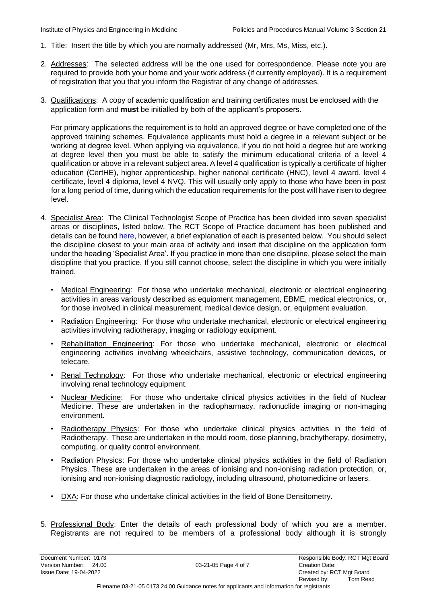- 1. Title: Insert the title by which you are normally addressed (Mr, Mrs, Ms, Miss, etc.).
- 2. Addresses: The selected address will be the one used for correspondence. Please note you are required to provide both your home and your work address (if currently employed). It is a requirement of registration that you that you inform the Registrar of any change of addresses.
- 3. Qualifications: A copy of academic qualification and training certificates must be enclosed with the application form and **must** be initialled by both of the applicant's proposers.

For primary applications the requirement is to hold an approved degree or have completed one of the approved training schemes. Equivalence applicants must hold a degree in a relevant subject or be working at degree level. When applying via equivalence, if you do not hold a degree but are working at degree level then you must be able to satisfy the minimum educational criteria of a level 4 qualification or above in a relevant subject area. A level 4 qualification is typically a certificate of higher education (CertHE), higher apprenticeship, higher national certificate (HNC), level 4 award, level 4 certificate, level 4 diploma, level 4 NVQ. This will usually only apply to those who have been in post for a long period of time, during which the education requirements for the post will have risen to degree level.

- 4. Specialist Area: The Clinical Technologist Scope of Practice has been divided into seven specialist areas or disciplines, listed below. The RCT Scope of Practice document has been published and details can be found [here,](http://therct.org.uk/view-the-register/) however, a brief explanation of each is presented below. You should select the discipline closest to your main area of activity and insert that discipline on the application form under the heading 'Specialist Area'. If you practice in more than one discipline, please select the main discipline that you practice. If you still cannot choose, select the discipline in which you were initially trained.
	- Medical Engineering: For those who undertake mechanical, electronic or electrical engineering activities in areas variously described as equipment management, EBME, medical electronics, or, for those involved in clinical measurement, medical device design, or, equipment evaluation.
	- Radiation Engineering: For those who undertake mechanical, electronic or electrical engineering activities involving radiotherapy, imaging or radiology equipment.
	- Rehabilitation Engineering: For those who undertake mechanical, electronic or electrical engineering activities involving wheelchairs, assistive technology, communication devices, or telecare.
	- Renal Technology: For those who undertake mechanical, electronic or electrical engineering involving renal technology equipment.
	- Nuclear Medicine: For those who undertake clinical physics activities in the field of Nuclear Medicine. These are undertaken in the radiopharmacy, radionuclide imaging or non-imaging environment.
	- Radiotherapy Physics: For those who undertake clinical physics activities in the field of Radiotherapy. These are undertaken in the mould room, dose planning, brachytherapy, dosimetry, computing, or quality control environment.
	- Radiation Physics: For those who undertake clinical physics activities in the field of Radiation Physics. These are undertaken in the areas of ionising and non-ionising radiation protection, or, ionising and non-ionising diagnostic radiology, including ultrasound, photomedicine or lasers.
	- DXA: For those who undertake clinical activities in the field of Bone Densitometry.
- 5. Professional Body: Enter the details of each professional body of which you are a member. Registrants are not required to be members of a professional body although it is strongly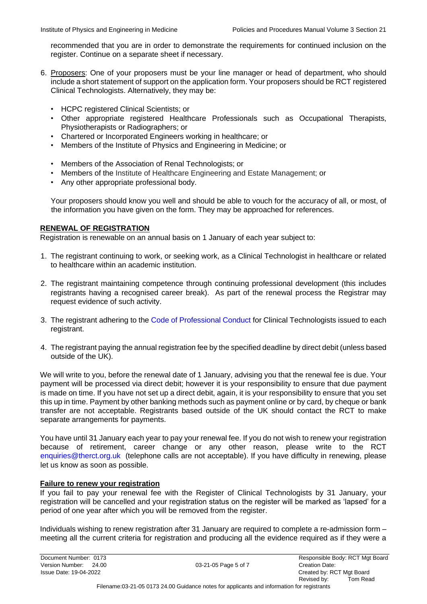recommended that you are in order to demonstrate the requirements for continued inclusion on the register. Continue on a separate sheet if necessary.

- 6. Proposers: One of your proposers must be your line manager or head of department, who should include a short statement of support on the application form. Your proposers should be RCT registered Clinical Technologists. Alternatively, they may be:
	- HCPC registered Clinical Scientists; or
	- Other appropriate registered Healthcare Professionals such as Occupational Therapists, Physiotherapists or Radiographers; or
	- Chartered or Incorporated Engineers working in healthcare; or
	- Members of the Institute of Physics and Engineering in Medicine; or
	- Members of the Association of Renal Technologists; or
	- Members of the Institute of Healthcare Engineering and Estate Management; or
	- Any other appropriate professional body.

Your proposers should know you well and should be able to vouch for the accuracy of all, or most, of the information you have given on the form. They may be approached for references.

## **RENEWAL OF REGISTRATION**

Registration is renewable on an annual basis on 1 January of each year subject to:

- 1. The registrant continuing to work, or seeking work, as a Clinical Technologist in healthcare or related to healthcare within an academic institution.
- 2. The registrant maintaining competence through continuing professional development (this includes registrants having a recognised career break). As part of the renewal process the Registrar may request evidence of such activity.
- 3. The registrant adhering to the [Code of Professional Conduct](http://www.hpc-uk.org/check/) for Clinical Technologists issued to each registrant.
- 4. The registrant paying the annual registration fee by the specified deadline by direct debit (unless based outside of the UK).

We will write to you, before the renewal date of 1 January, advising you that the renewal fee is due. Your payment will be processed via direct debit; however it is your responsibility to ensure that due payment is made on time. If you have not set up a direct debit, again, it is your responsibility to ensure that you set this up in time. Payment by other banking methods such as payment online or by card, by cheque or bank transfer are not acceptable. Registrants based outside of the UK should contact the RCT to make separate arrangements for payments.

You have until 31 January each year to pay your renewal fee. If you do not wish to renew your registration because of retirement, career change or any other reason, please write to the RCT enquiries@therct.org.uk (telephone calls are not acceptable). If you have difficulty in renewing, please let us know as soon as possible.

## **Failure to renew your registration**

If you fail to pay your renewal fee with the Register of Clinical Technologists by 31 January, your registration will be cancelled and your registration status on the register will be marked as 'lapsed' for a period of one year after which you will be removed from the register.

Individuals wishing to renew registration after 31 January are required to complete a [re-admission form](http://therct.org.uk/how-to-join-the-register/fees-and-ways-to-pay/) – meeting all the current criteria for registration and producing all the evidence required as if they were a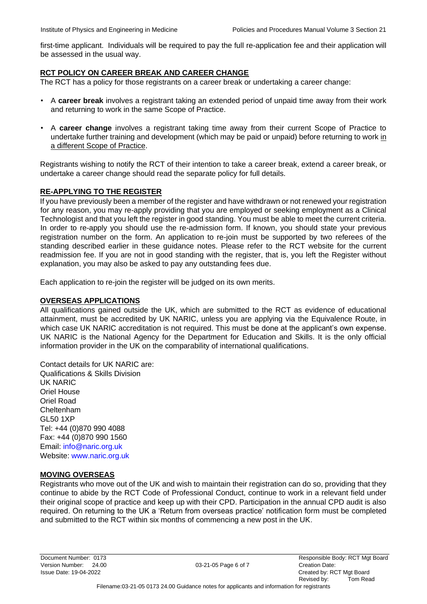first-time applicant. Individuals will be required to pay the full re-applicatio[n](http://therct.org.uk/view-the-register/) [fee](http://therct.org.uk/view-the-register/) and their application will be assessed in the usual way.

## **RCT POLICY ON CAREER BREAK AND CAREER CHANGE**

The RCT has a policy for those registrants on a career break or undertaking a career change:

- A **career break** involves a registrant taking an extended period of unpaid time away from their work and returning to work in the same Scope of Practice.
- A **career change** involves a registrant taking time away from their current Scope of Practice to undertake further training and development (which may be paid or unpaid) before returning to work in a different Scope of Practice.

Registrants wishing to notify the RCT of their intention to take a career break, extend a career break, or undertake a career change should read the separate policy for full details.

## **RE-APPLYING TO THE REGISTER**

If you have previously been a member of the register and have withdrawn or not renewed your registration for any reason, you may re-apply providing that you are employed or seeking employment as a Clinical Technologist and that you left the register in good standing. You must be able to meet the current criteria. In order to re-apply you should use the re-admission form. If known, you should state your previous registration number on the form. An application to re-join must be supported by two referees of the standing described earlier in these guidance notes. Please refer to the RCT website for the current readmission fee. If you are not in good standing with the register, that is, you left the Register without explanation, you may also be asked to pay any outstanding fees due.

Each application to re-join the register will be judged on its own merits.

#### **OVERSEAS APPLICATIONS**

All qualifications gained outside the UK, which are submitted to the RCT as evidence of educational attainment, must be accredited by UK NARIC, unless you are applying via the Equivalence Route, in which case UK NARIC accreditation is not required. This must be done at the applicant's own expense. UK NARIC is the National Agency for the Department for Education and Skills. It is the only official information provider in the UK on the comparability of international qualifications.

Contact details for UK NARIC are: Qualifications & Skills Division UK NARIC Oriel House Oriel Road Cheltenham GL50 1XP Tel: +44 (0)870 990 4088 Fax: +44 (0)870 990 1560 Email: [info@naric.org.uk](https://nshcs.hee.nhs.uk/services/accreditation/ptp-academic-programmes/)  Website: [www.naric.org.uk](http://therct.org.uk/wp-content/uploads/2016/06/Re-Admission-Form-editable-Dec-2015-RCT.pdf)

## **MOVING OVERSEAS**

Registrants who move out of the UK and wish to maintain their registration can do so, providing that they continue to abide by the RCT Code of Professional Conduct, continue to work in a relevant field under their original scope of practice and keep up with their CPD. Participation in the annual CPD audit is also required. On returning to the UK a 'Return from overseas practice' notification form must be completed and submitted to the RCT within six months of commencing a new post in the UK.

Version Number: 24.00 03-21-05 Page 6 of 7 Creation Date: